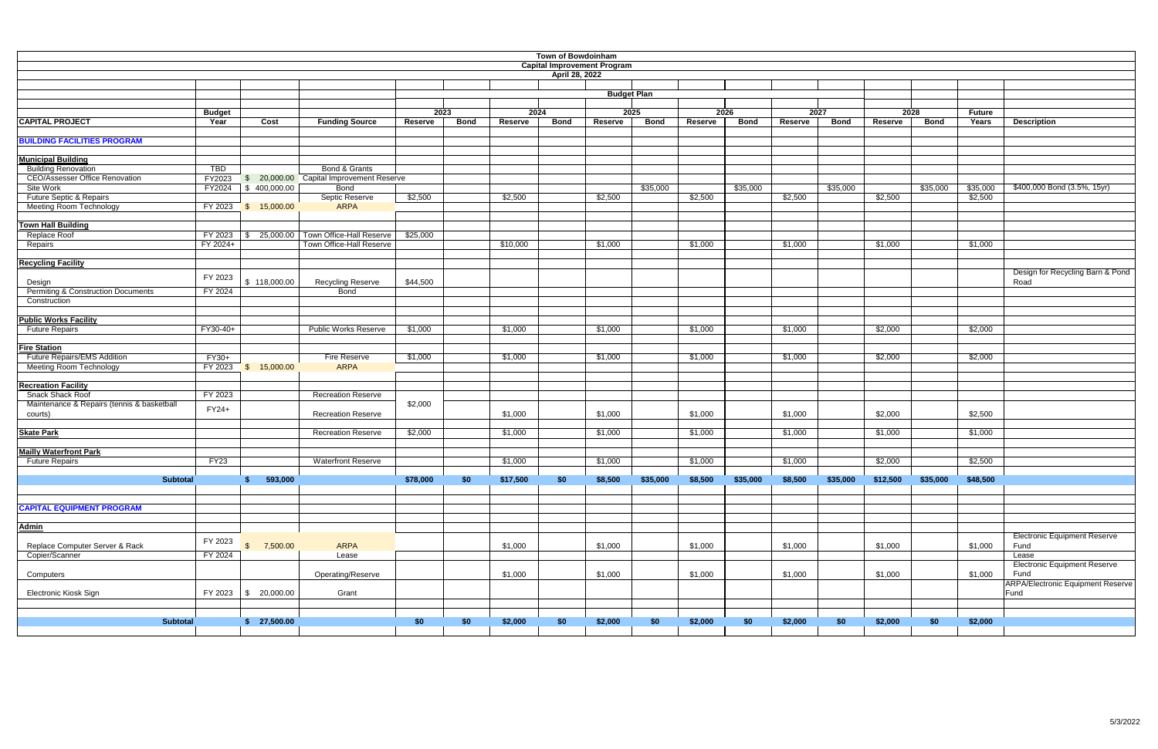| <b>Town of Bowdoinham</b><br><b>Capital Improvement Program</b> |                |                                 |                                          |                |             |          |             |                    |              |         |             |         |             |          |             |               |                                          |
|-----------------------------------------------------------------|----------------|---------------------------------|------------------------------------------|----------------|-------------|----------|-------------|--------------------|--------------|---------|-------------|---------|-------------|----------|-------------|---------------|------------------------------------------|
|                                                                 | April 28, 2022 |                                 |                                          |                |             |          |             |                    |              |         |             |         |             |          |             |               |                                          |
|                                                                 |                |                                 |                                          |                |             |          |             |                    |              |         |             |         |             |          |             |               |                                          |
|                                                                 |                |                                 |                                          |                |             |          |             | <b>Budget Plan</b> |              |         |             |         |             |          |             |               |                                          |
|                                                                 | <b>Budget</b>  |                                 |                                          |                | 2023        | 2024     |             |                    | 2025<br>2026 |         |             |         | 2027        |          | 2028        | <b>Future</b> |                                          |
| <b>CAPITAL PROJECT</b>                                          | Year           | Cost                            | <b>Funding Source</b>                    | <b>Reserve</b> | <b>Bond</b> | Reserve  | <b>Bond</b> | Reserve            | <b>Bond</b>  | Reserve | <b>Bond</b> | Reserve | <b>Bond</b> | Reserve  | <b>Bond</b> | Years         | <b>Description</b>                       |
|                                                                 |                |                                 |                                          |                |             |          |             |                    |              |         |             |         |             |          |             |               |                                          |
| <b>BUILDING FACILITIES PROGRAM</b>                              |                |                                 |                                          |                |             |          |             |                    |              |         |             |         |             |          |             |               |                                          |
| <b>Municipal Building</b>                                       |                |                                 |                                          |                |             |          |             |                    |              |         |             |         |             |          |             |               |                                          |
| <b>Building Renovation</b>                                      | <b>TBD</b>     |                                 | Bond & Grants                            |                |             |          |             |                    |              |         |             |         |             |          |             |               |                                          |
| <b>CEO/Assesser Office Renovation</b>                           | FY2023         |                                 | \$ 20,000.00 Capital Improvement Reserve |                |             |          |             |                    |              |         |             |         |             |          |             |               |                                          |
| Site Work                                                       | FY2024         | $\frac{1}{2}$ 400,000.00        | Bond                                     |                |             |          |             |                    | \$35,000     |         | \$35,000    |         | \$35,000    |          | \$35,000    | \$35,000      | \$400,000 Bond (3.5%, 15yr)              |
| Future Septic & Repairs                                         |                |                                 | Septic Reserve                           | \$2,500        |             | \$2,500  |             | \$2,500            |              | \$2,500 |             | \$2,500 |             | \$2,500  |             | \$2,500       |                                          |
| <b>Meeting Room Technology</b>                                  | FY 2023        | \$ 15,000.00                    | <b>ARPA</b>                              |                |             |          |             |                    |              |         |             |         |             |          |             |               |                                          |
| <b>Town Hall Building</b>                                       |                |                                 |                                          |                |             |          |             |                    |              |         |             |         |             |          |             |               |                                          |
| Replace Roof                                                    | FY 2023        |                                 | \$ 25,000.00 Town Office-Hall Reserve    | \$25,000       |             |          |             |                    |              |         |             |         |             |          |             |               |                                          |
| Repairs                                                         | FY 2024+       |                                 | Town Office-Hall Reserve                 |                |             | \$10,000 |             | \$1,000            |              | \$1,000 |             | \$1,000 |             | \$1,000  |             | \$1,000       |                                          |
|                                                                 |                |                                 |                                          |                |             |          |             |                    |              |         |             |         |             |          |             |               |                                          |
| <b>Recycling Facility</b>                                       |                |                                 |                                          |                |             |          |             |                    |              |         |             |         |             |          |             |               |                                          |
|                                                                 | FY 2023        |                                 |                                          |                |             |          |             |                    |              |         |             |         |             |          |             |               | Design for Recycling Barn & Pond         |
| Design                                                          |                | \$118,000.00                    | Recycling Reserve                        | \$44,500       |             |          |             |                    |              |         |             |         |             |          |             |               | Road                                     |
| <b>Permiting &amp; Construction Documents</b>                   | FY 2024        |                                 | <b>Bond</b>                              |                |             |          |             |                    |              |         |             |         |             |          |             |               |                                          |
| Construction                                                    |                |                                 |                                          |                |             |          |             |                    |              |         |             |         |             |          |             |               |                                          |
|                                                                 |                |                                 |                                          |                |             |          |             |                    |              |         |             |         |             |          |             |               |                                          |
| <b>Public Works Facility</b><br><b>Future Repairs</b>           | FY30-40+       |                                 | <b>Public Works Reserve</b>              | \$1,000        |             | \$1,000  |             | \$1,000            |              | \$1,000 |             | \$1,000 |             | \$2,000  |             | \$2,000       |                                          |
|                                                                 |                |                                 |                                          |                |             |          |             |                    |              |         |             |         |             |          |             |               |                                          |
| <b>Fire Station</b>                                             |                |                                 |                                          |                |             |          |             |                    |              |         |             |         |             |          |             |               |                                          |
| <b>Future Repairs/EMS Addition</b>                              | $FY30+$        |                                 | Fire Reserve                             | \$1,000        |             | \$1,000  |             | \$1,000            |              | \$1,000 |             | \$1,000 |             | \$2,000  |             | \$2,000       |                                          |
| <b>Meeting Room Technology</b>                                  |                | FY 2023 \$ 15,000.00            | <b>ARPA</b>                              |                |             |          |             |                    |              |         |             |         |             |          |             |               |                                          |
|                                                                 |                |                                 |                                          |                |             |          |             |                    |              |         |             |         |             |          |             |               |                                          |
| <b>Recreation Facility</b>                                      |                |                                 |                                          |                |             |          |             |                    |              |         |             |         |             |          |             |               |                                          |
| <b>Snack Shack Roof</b>                                         | FY 2023        |                                 | <b>Recreation Reserve</b>                |                |             |          |             |                    |              |         |             |         |             |          |             |               |                                          |
| Maintenance & Repairs (tennis & basketball                      | FY24+          |                                 |                                          | \$2,000        |             |          |             |                    |              |         |             |         |             |          |             |               |                                          |
| courts)                                                         |                |                                 | <b>Recreation Reserve</b>                |                |             | \$1,000  |             | \$1,000            |              | \$1,000 |             | \$1,000 |             | \$2,000  |             | \$2,500       |                                          |
|                                                                 |                |                                 | <b>Recreation Reserve</b>                | \$2,000        |             | \$1,000  |             | \$1,000            |              | \$1,000 |             | \$1,000 |             | \$1,000  |             | \$1,000       |                                          |
| <b>Skate Park</b>                                               |                |                                 |                                          |                |             |          |             |                    |              |         |             |         |             |          |             |               |                                          |
| <b>Mailly Waterfront Park</b>                                   |                |                                 |                                          |                |             |          |             |                    |              |         |             |         |             |          |             |               |                                          |
| <b>Future Repairs</b>                                           | FY23           |                                 | <b>Waterfront Reserve</b>                |                |             | \$1,000  |             | \$1,000            |              | \$1,000 |             | \$1,000 |             | \$2,000  |             | \$2,500       |                                          |
|                                                                 |                |                                 |                                          |                |             |          |             |                    |              |         |             |         |             |          |             |               |                                          |
| <b>Subtotal</b>                                                 |                | 593,000                         |                                          | \$78,000       | \$0         | \$17,500 | \$0         | \$8,500            | \$35,000     | \$8,500 | \$35,000    | \$8,500 | \$35,000    | \$12,500 | \$35,000    | \$48,500      |                                          |
|                                                                 |                |                                 |                                          |                |             |          |             |                    |              |         |             |         |             |          |             |               |                                          |
|                                                                 |                |                                 |                                          |                |             |          |             |                    |              |         |             |         |             |          |             |               |                                          |
| <b>CAPITAL EQUIPMENT PROGRAM</b>                                |                |                                 |                                          |                |             |          |             |                    |              |         |             |         |             |          |             |               |                                          |
| <b>Admin</b>                                                    |                |                                 |                                          |                |             |          |             |                    |              |         |             |         |             |          |             |               |                                          |
|                                                                 |                |                                 |                                          |                |             |          |             |                    |              |         |             |         |             |          |             |               | <b>Electronic Equipment Reserve</b>      |
| Replace Computer Server & Rack                                  | FY 2023        | \$7,500.00                      | ARPA                                     |                |             | \$1,000  |             | \$1,000            |              | \$1,000 |             | \$1,000 |             | \$1,000  |             | \$1,000       | Fund                                     |
| Copier/Scanner                                                  | FY 2024        |                                 | Lease                                    |                |             |          |             |                    |              |         |             |         |             |          |             |               | Lease                                    |
|                                                                 |                |                                 |                                          |                |             |          |             |                    |              |         |             |         |             |          |             |               | <b>Electronic Equipment Reserve</b>      |
| Computers                                                       |                |                                 | Operating/Reserve                        |                |             | \$1,000  |             | \$1,000            |              | \$1,000 |             | \$1,000 |             | \$1,000  |             | \$1,000       | Fund                                     |
|                                                                 |                |                                 |                                          |                |             |          |             |                    |              |         |             |         |             |          |             |               | <b>ARPA/Electronic Equipment Reserve</b> |
| Electronic Kiosk Sign                                           |                | FY 2023 $\frac{1}{3}$ 20,000.00 | Grant                                    |                |             |          |             |                    |              |         |             |         |             |          |             |               | Fund                                     |
|                                                                 |                |                                 |                                          |                |             |          |             |                    |              |         |             |         |             |          |             |               |                                          |
| <b>Subtotal</b>                                                 |                | \$27,500.00                     |                                          | \$0            | \$0         | \$2,000  | \$0         | \$2,000            | \$0          | \$2,000 | \$0         | \$2,000 | \$0         | \$2,000  | \$0         | \$2,000       |                                          |
|                                                                 |                |                                 |                                          |                |             |          |             |                    |              |         |             |         |             |          |             |               |                                          |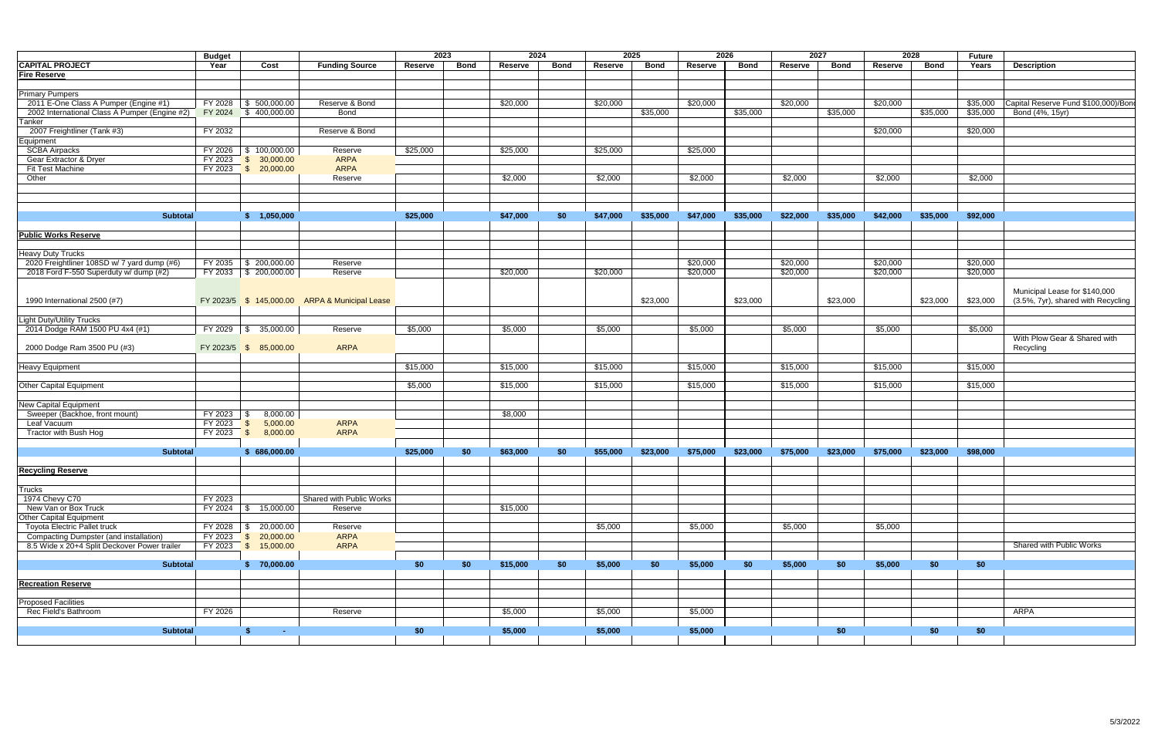|                                               | <b>Budget</b> |                            |                                                | 2023<br>2024 |             |          |             | 2025<br>2026 |             |          |             |                | 2027     |          | 2028<br><b>Future</b> |          |                                     |  |
|-----------------------------------------------|---------------|----------------------------|------------------------------------------------|--------------|-------------|----------|-------------|--------------|-------------|----------|-------------|----------------|----------|----------|-----------------------|----------|-------------------------------------|--|
| <b>CAPITAL PROJECT</b>                        | Year          | Cost                       | <b>Funding Source</b>                          | Reserve      | <b>Bond</b> | Reserve  | <b>Bond</b> | Reserve      | <b>Bond</b> | Reserve  | <b>Bond</b> | <b>Reserve</b> | Bond     | Reserve  | <b>Bond</b>           | Years    | <b>Description</b>                  |  |
| <b>Fire Reserve</b>                           |               |                            |                                                |              |             |          |             |              |             |          |             |                |          |          |                       |          |                                     |  |
|                                               |               |                            |                                                |              |             |          |             |              |             |          |             |                |          |          |                       |          |                                     |  |
| <b>Primary Pumpers</b>                        |               |                            |                                                |              |             |          |             |              |             |          |             |                |          |          |                       |          |                                     |  |
| 2011 E-One Class A Pumper (Engine #1)         | FY 2028       | $\frac{1}{5}$ 500,000.00   | Reserve & Bond                                 |              |             | \$20,000 |             | \$20,000     |             | \$20,000 |             | \$20,000       |          | \$20,000 |                       | \$35,000 | Capital Reserve Fund \$100,000)/Bon |  |
| 2002 International Class A Pumper (Engine #2) | FY 2024       | \$400,000.00               | Bond                                           |              |             |          |             |              | \$35,000    |          | \$35,000    |                | \$35,000 |          | \$35,000              | \$35,000 | Bond (4%, 15yr)                     |  |
| Tanker                                        |               |                            |                                                |              |             |          |             |              |             |          |             |                |          |          |                       |          |                                     |  |
| 2007 Freightliner (Tank #3)                   | FY 2032       |                            | Reserve & Bond                                 |              |             |          |             |              |             |          |             |                |          | \$20,000 |                       | \$20,000 |                                     |  |
| Equipment                                     |               |                            |                                                |              |             |          |             |              |             |          |             |                |          |          |                       |          |                                     |  |
| <b>SCBA Airpacks</b>                          | FY 2026       | $\frac{1}{2}$ 100,000.00   | Reserve                                        | \$25,000     |             | \$25,000 |             | \$25,000     |             | \$25,000 |             |                |          |          |                       |          |                                     |  |
| Gear Extractor & Dryer                        | FY 2023       | $\frac{1}{2}$ \$ 30,000.00 | ARPA                                           |              |             |          |             |              |             |          |             |                |          |          |                       |          |                                     |  |
| <b>Fit Test Machine</b>                       |               | FY 2023 \$ 20,000.00       | ARPA                                           |              |             |          |             |              |             |          |             |                |          |          |                       |          |                                     |  |
| Other                                         |               |                            |                                                |              |             | \$2,000  |             | \$2,000      |             | \$2,000  |             | \$2,000        |          | \$2,000  |                       |          |                                     |  |
|                                               |               |                            | Reserve                                        |              |             |          |             |              |             |          |             |                |          |          |                       | \$2,000  |                                     |  |
|                                               |               |                            |                                                |              |             |          |             |              |             |          |             |                |          |          |                       |          |                                     |  |
|                                               |               |                            |                                                |              |             |          |             |              |             |          |             |                |          |          |                       |          |                                     |  |
|                                               |               |                            |                                                |              |             |          |             |              |             |          |             |                |          |          |                       |          |                                     |  |
| <b>Subtotal</b>                               |               | \$ 1,050,000               |                                                | \$25,000     |             | \$47,000 | \$0         | \$47,000     | \$35,000    | \$47,000 | \$35,000    | \$22,000       | \$35,000 | \$42,000 | \$35,000              | \$92,000 |                                     |  |
|                                               |               |                            |                                                |              |             |          |             |              |             |          |             |                |          |          |                       |          |                                     |  |
| <b>Public Works Reserve</b>                   |               |                            |                                                |              |             |          |             |              |             |          |             |                |          |          |                       |          |                                     |  |
|                                               |               |                            |                                                |              |             |          |             |              |             |          |             |                |          |          |                       |          |                                     |  |
| <b>Heavy Duty Trucks</b>                      |               |                            |                                                |              |             |          |             |              |             |          |             |                |          |          |                       |          |                                     |  |
| 2020 Freightliner 108SD w/ 7 yard dump (#6)   | FY 2035       | $\frac{1}{200,000.00}$     | Reserve                                        |              |             |          |             |              |             | \$20,000 |             | \$20,000       |          | \$20,000 |                       | \$20,000 |                                     |  |
| 2018 Ford F-550 Superduty w/ dump (#2)        |               | FY 2033 \$ 200,000.00      | Reserve                                        |              |             | \$20,000 |             | \$20,000     |             | \$20,000 |             | \$20,000       |          | \$20,000 |                       | \$20,000 |                                     |  |
|                                               |               |                            |                                                |              |             |          |             |              |             |          |             |                |          |          |                       |          |                                     |  |
|                                               |               |                            |                                                |              |             |          |             |              |             |          |             |                |          |          |                       |          | Municipal Lease for \$140,000       |  |
| 1990 International 2500 (#7)                  |               |                            | FY 2023/5 \$ 145,000.00 ARPA & Municipal Lease |              |             |          |             |              | \$23,000    |          | \$23,000    |                | \$23,000 |          | \$23,000              | \$23,000 | (3.5%, 7yr), shared with Recycling  |  |
|                                               |               |                            |                                                |              |             |          |             |              |             |          |             |                |          |          |                       |          |                                     |  |
| <b>Light Duty/Utility Trucks</b>              |               |                            |                                                |              |             |          |             |              |             |          |             |                |          |          |                       |          |                                     |  |
| 2014 Dodge RAM 1500 PU 4x4 (#1)               | FY 2029       | $\frac{1}{5}$ 35,000.00    | Reserve                                        | \$5,000      |             | \$5,000  |             | \$5,000      |             | \$5,000  |             | \$5,000        |          | \$5,000  |                       | \$5,000  |                                     |  |
|                                               |               |                            |                                                |              |             |          |             |              |             |          |             |                |          |          |                       |          | With Plow Gear & Shared with        |  |
| 2000 Dodge Ram 3500 PU (#3)                   |               | FY 2023/5 \$ 85,000.00     | <b>ARPA</b>                                    |              |             |          |             |              |             |          |             |                |          |          |                       |          | Recycling                           |  |
|                                               |               |                            |                                                |              |             |          |             |              |             |          |             |                |          |          |                       |          |                                     |  |
| <b>Heavy Equipment</b>                        |               |                            |                                                | \$15,000     |             | \$15,000 |             | \$15,000     |             | \$15,000 |             | \$15,000       |          | \$15,000 |                       | \$15,000 |                                     |  |
|                                               |               |                            |                                                |              |             |          |             |              |             |          |             |                |          |          |                       |          |                                     |  |
| <b>Other Capital Equipment</b>                |               |                            |                                                | \$5,000      |             | \$15,000 |             | \$15,000     |             | \$15,000 |             | \$15,000       |          | \$15,000 |                       | \$15,000 |                                     |  |
|                                               |               |                            |                                                |              |             |          |             |              |             |          |             |                |          |          |                       |          |                                     |  |
| <b>New Capital Equipment</b>                  |               |                            |                                                |              |             |          |             |              |             |          |             |                |          |          |                       |          |                                     |  |
| Sweeper (Backhoe, front mount)                |               |                            |                                                |              |             | \$8,000  |             |              |             |          |             |                |          |          |                       |          |                                     |  |
|                                               | FY 2023       | 8,000.00                   |                                                |              |             |          |             |              |             |          |             |                |          |          |                       |          |                                     |  |
| Leaf Vacuum                                   | FY 2023       | 5,000.00<br>- \$           | ARPA                                           |              |             |          |             |              |             |          |             |                |          |          |                       |          |                                     |  |
| <b>Tractor with Bush Hog</b>                  | FY 2023       | 8,000.00<br><b>S</b>       | ARPA                                           |              |             |          |             |              |             |          |             |                |          |          |                       |          |                                     |  |
|                                               |               |                            |                                                |              |             |          |             |              |             |          |             |                |          |          |                       |          |                                     |  |
| <b>Subtotal</b>                               |               | \$686,000.00               |                                                | \$25,000     | \$0         | \$63,000 | \$0         | \$55,000     | \$23,000    | \$75,000 | \$23,000    | \$75,000       | \$23,000 | \$75,000 | \$23,000              | \$98,000 |                                     |  |
|                                               |               |                            |                                                |              |             |          |             |              |             |          |             |                |          |          |                       |          |                                     |  |
| <b>Recycling Reserve</b>                      |               |                            |                                                |              |             |          |             |              |             |          |             |                |          |          |                       |          |                                     |  |
|                                               |               |                            |                                                |              |             |          |             |              |             |          |             |                |          |          |                       |          |                                     |  |
| <b>Trucks</b>                                 |               |                            |                                                |              |             |          |             |              |             |          |             |                |          |          |                       |          |                                     |  |
| 1974 Chevy C70                                | FY 2023       |                            | Shared with Public Works                       |              |             |          |             |              |             |          |             |                |          |          |                       |          |                                     |  |
| New Van or Box Truck                          | FY 2024       | $\frac{1}{3}$ 15,000.00    | Reserve                                        |              |             | \$15,000 |             |              |             |          |             |                |          |          |                       |          |                                     |  |
| Other Capital Equipment                       |               |                            |                                                |              |             |          |             |              |             |          |             |                |          |          |                       |          |                                     |  |
| <b>Toyota Electric Pallet truck</b>           | FY 2028       | $\frac{1}{2}$ 20,000.00    | Reserve                                        |              |             |          |             | \$5,000      |             | \$5,000  |             | \$5,000        |          | \$5,000  |                       |          |                                     |  |
| <b>Compacting Dumpster (and installation)</b> |               | FY 2023 \$ 20,000.00       | <b>ARPA</b>                                    |              |             |          |             |              |             |          |             |                |          |          |                       |          |                                     |  |
| 8.5 Wide x 20+4 Split Deckover Power trailer  |               | FY 2023 \$ 15,000.00       | ARPA                                           |              |             |          |             |              |             |          |             |                |          |          |                       |          | Shared with Public Works            |  |
|                                               |               |                            |                                                |              |             |          |             |              |             |          |             |                |          |          |                       |          |                                     |  |
| <b>Subtotal</b>                               |               | \$70,000.00                |                                                | \$0          | \$0         | \$15,000 | \$0         | \$5,000      | \$0         | \$5,000  | <b>SO</b>   | \$5,000        | \$0      | \$5,000  | \$0                   | \$0      |                                     |  |
|                                               |               |                            |                                                |              |             |          |             |              |             |          |             |                |          |          |                       |          |                                     |  |
| <b>Recreation Reserve</b>                     |               |                            |                                                |              |             |          |             |              |             |          |             |                |          |          |                       |          |                                     |  |
|                                               |               |                            |                                                |              |             |          |             |              |             |          |             |                |          |          |                       |          |                                     |  |
| <b>Proposed Facilities</b>                    |               |                            |                                                |              |             |          |             |              |             |          |             |                |          |          |                       |          |                                     |  |
| Rec Field's Bathroom                          | FY 2026       |                            | Reserve                                        |              |             | \$5,000  |             | \$5,000      |             | \$5,000  |             |                |          |          |                       |          | ARPA                                |  |
|                                               |               |                            |                                                |              |             |          |             |              |             |          |             |                |          |          |                       |          |                                     |  |
| <b>Subtotal</b>                               |               | S.<br><b>Service State</b> |                                                | \$0          |             | \$5,000  |             | \$5,000      |             | \$5,000  |             |                | \$0      |          | \$0                   | \$0      |                                     |  |
|                                               |               |                            |                                                |              |             |          |             |              |             |          |             |                |          |          |                       |          |                                     |  |
|                                               |               |                            |                                                |              |             |          |             |              |             |          |             |                |          |          |                       |          |                                     |  |